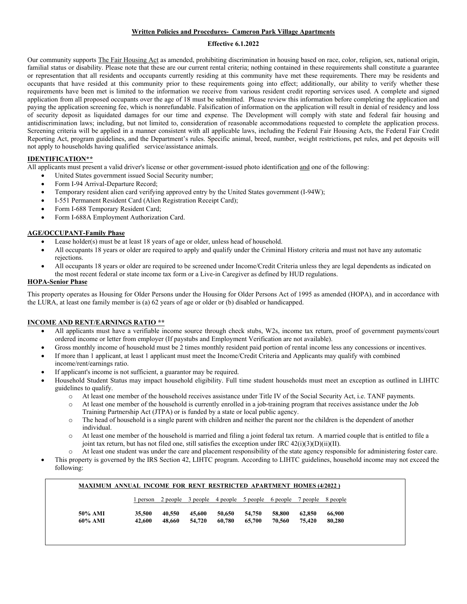## **Written Policies and Procedures- Cameron Park Village Apartments**

### **Effective 6.1.2022**

Our community supports The Fair Housing Act as amended, prohibiting discrimination in housing based on race, color, religion, sex, national origin, familial status or disability. Please note that these are our current rental criteria; nothing contained in these requirements shall constitute a guarantee or representation that all residents and occupants currently residing at this community have met these requirements. There may be residents and occupants that have resided at this community prior to these requirements going into effect; additionally, our ability to verify whether these requirements have been met is limited to the information we receive from various resident credit reporting services used. A complete and signed application from all proposed occupants over the age of 18 must be submitted. Please review this information before completing the application and paying the application screening fee, which is nonrefundable. Falsification of information on the application will result in denial of residency and loss of security deposit as liquidated damages for our time and expense. The Development will comply with state and federal fair housing and antidiscrimination laws; including, but not limited to, consideration of reasonable accommodations requested to complete the application process. Screening criteria will be applied in a manner consistent with all applicable laws, including the Federal Fair Housing Acts, the Federal Fair Credit Reporting Act, program guidelines, and the Department's rules. Specific animal, breed, number, weight restrictions, pet rules, and pet deposits will not apply to households having qualified service/assistance animals.

# **IDENTIFICATION\*\***

All applicants must present a valid driver's license or other government-issued photo identification and one of the following:

- United States government issued Social Security number;
- Form I-94 Arrival-Departure Record;
- Temporary resident alien card verifying approved entry by the United States government (I-94W);
- I-551 Permanent Resident Card (Alien Registration Receipt Card);
- Form I-688 Temporary Resident Card;
- Form I-688A Employment Authorization Card.

### **AGE/OCCUPANT-Family Phase**

- Lease holder(s) must be at least 18 years of age or older, unless head of household.
- All occupants 18 years or older are required to apply and qualify under the Criminal History criteria and must not have any automatic rejections.
- All occupants 18 years or older are required to be screened under Income/Credit Criteria unless they are legal dependents as indicated on the most recent federal or state income tax form or a Live-in Caregiver as defined by HUD regulations.

### **HOPA-Senior Phase**

This property operates as Housing for Older Persons under the Housing for Older Persons Act of 1995 as amended (HOPA), and in accordance with the LURA, at least one family member is (a) 62 years of age or older or (b) disabled or handicapped.

## **INCOME AND RENT/EARNINGS RATIO \*\***

- All applicants must have a verifiable income source through check stubs, W2s, income tax return, proof of government payments/court ordered income or letter from employer (If paystubs and Employment Verification are not available).
- Gross monthly income of household must be 2 times monthly resident paid portion of rental income less any concessions or incentives.
- If more than 1 applicant, at least 1 applicant must meet the Income/Credit Criteria and Applicants may qualify with combined income/rent/earnings ratio.
- If applicant's income is not sufficient, a guarantor may be required.
- Household Student Status may impact household eligibility. Full time student households must meet an exception as outlined in LIHTC guidelines to qualify.
	- o At least one member of the household receives assistance under Title IV of the Social Security Act, i.e. TANF payments.
	- o At least one member of the household is currently enrolled in a job-training program that receives assistance under the Job Training Partnership Act (JTPA) or is funded by a state or local public agency.
	- o The head of household is a single parent with children and neither the parent nor the children is the dependent of another individual.
	- o At least one member of the household is married and filing a joint federal tax return. A married couple that is entitled to file a joint tax return, but has not filed one, still satisfies the exception under IRC  $42(i)(3)(D)(ii)(II)$ .
	- At least one student was under the care and placement responsibility of the state agency responsible for administering foster care.
- This property is governed by the IRS Section 42, LIHTC program. According to LIHTC guidelines, household income may not exceed the following:

|         | 1 person | 2 people 3 people 4 people 5 people 6 people |        |        |        |        | 7 people 8 people |        |
|---------|----------|----------------------------------------------|--------|--------|--------|--------|-------------------|--------|
| 50% AMI | 35,500   | 40,550                                       | 45,600 | 50.650 | 54,750 | 58,800 | 62,850            | 66,900 |
|         |          |                                              |        |        |        |        |                   |        |
| 60% AMI | 42,600   | 48.660                                       | 54,720 | 60,780 | 65,700 | 70.560 | 75.420            | 80,280 |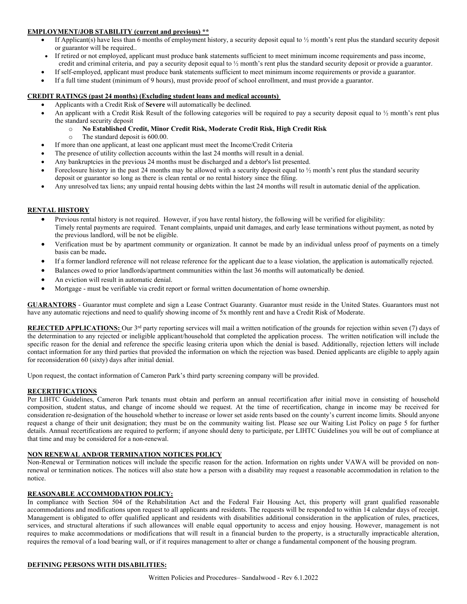## **EMPLOYMENT/JOB STABILITY (current and previous) \*\***

- If Applicant(s) have less than 6 months of employment history, a security deposit equal to  $\frac{1}{2}$  month's rent plus the standard security deposit or guarantor will be required..
- If retired or not employed, applicant must produce bank statements sufficient to meet minimum income requirements and pass income, credit and criminal criteria, and pay a security deposit equal to ½ month's rent plus the standard security deposit or provide a guarantor.
- If self-employed, applicant must produce bank statements sufficient to meet minimum income requirements or provide a guarantor.
- If a full time student (minimum of 9 hours), must provide proof of school enrollment, and must provide a guarantor.

## **CREDIT RATINGS (past 24 months) (Excluding student loans and medical accounts)**

- Applicants with a Credit Risk of **Severe** will automatically be declined.
- An applicant with a Credit Risk Result of the following categories will be required to pay a security deposit equal to 1/2 month's rent plus the standard security deposit
	- o **No Established Credit, Minor Credit Risk, Moderate Credit Risk, High Credit Risk**
	- The standard deposit is 600.00.
- If more than one applicant, at least one applicant must meet the Income/Credit Criteria
- The presence of utility collection accounts within the last 24 months will result in a denial.
- Any bankruptcies in the previous 24 months must be discharged and a debtor's list presented.
- Foreclosure history in the past 24 months may be allowed with a security deposit equal to ½ month's rent plus the standard security deposit or guarantor so long as there is clean rental or no rental history since the filing.
- Any unresolved tax liens; any unpaid rental housing debts within the last 24 months will result in automatic denial of the application.

### **RENTAL HISTORY**

- Previous rental history is not required. However, if you have rental history, the following will be verified for eligibility: Timely rental payments are required. Tenant complaints, unpaid unit damages, and early lease terminations without payment, as noted by the previous landlord, will be not be eligible.
- Verification must be by apartment community or organization. It cannot be made by an individual unless proof of payments on a timely basis can be made**.**
- If a former landlord reference will not release reference for the applicant due to a lease violation, the application is automatically rejected.
- Balances owed to prior landlords/apartment communities within the last 36 months will automatically be denied.
- An eviction will result in automatic denial.
- Mortgage must be verifiable via credit report or formal written documentation of home ownership.

**GUARANTORS** - Guarantor must complete and sign a Lease Contract Guaranty. Guarantor must reside in the United States. Guarantors must not have any automatic rejections and need to qualify showing income of 5x monthly rent and have a Credit Risk of Moderate.

**REJECTED APPLICATIONS:** Our 3<sup>rd</sup> party reporting services will mail a written notification of the grounds for rejection within seven (7) days of the determination to any rejected or ineligible applicant/household that completed the application process. The written notification will include the specific reason for the denial and reference the specific leasing criteria upon which the denial is based. Additionally, rejection letters will include contact information for any third parties that provided the information on which the rejection was based. Denied applicants are eligible to apply again for reconsideration 60 (sixty) days after initial denial.

Upon request, the contact information of Cameron Park's third party screening company will be provided.

#### **RECERTIFICATIONS**

Per LIHTC Guidelines, Cameron Park tenants must obtain and perform an annual recertification after initial move in consisting of household composition, student status, and change of income should we request. At the time of recertification, change in income may be received for consideration re-designation of the household whether to increase or lower set aside rents based on the county's current income limits. Should anyone request a change of their unit designation; they must be on the community waiting list. Please see our Waiting List Policy on page 5 for further details. Annual recertifications are required to perform; if anyone should deny to participate, per LIHTC Guidelines you will be out of compliance at that time and may be considered for a non-renewal.

#### **NON RENEWAL AND/OR TERMINATION NOTICES POLICY**

Non-Renewal or Termination notices will include the specific reason for the action. Information on rights under VAWA will be provided on nonrenewal or termination notices. The notices will also state how a person with a disability may request a reasonable accommodation in relation to the notice.

#### **REASONABLE ACCOMMODATION POLICY:**

In compliance with Section 504 of the Rehabilitation Act and the Federal Fair Housing Act, this property will grant qualified reasonable accommodations and modifications upon request to all applicants and residents. The requests will be responded to within 14 calendar days of receipt. Management is obligated to offer qualified applicant and residents with disabilities additional consideration in the application of rules, practices, services, and structural alterations if such allowances will enable equal opportunity to access and enjoy housing. However, management is not requires to make accommodations or modifications that will result in a financial burden to the property, is a structurally impracticable alteration, requires the removal of a load bearing wall, or if it requires management to alter or change a fundamental component of the housing program.

#### **DEFINING PERSONS WITH DISABILITIES:**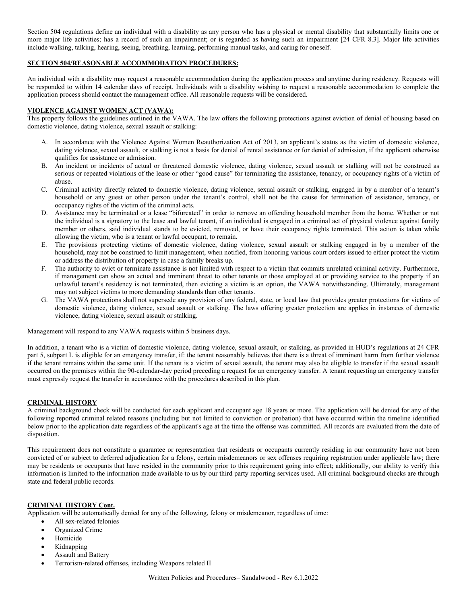Section 504 regulations define an individual with a disability as any person who has a physical or mental disability that substantially limits one or more major life activities; has a record of such an impairment; or is regarded as having such an impairment [24 CFR 8.3]. Major life activities include walking, talking, hearing, seeing, breathing, learning, performing manual tasks, and caring for oneself.

# **SECTION 504/REASONABLE ACCOMMODATION PROCEDURES:**

An individual with a disability may request a reasonable accommodation during the application process and anytime during residency. Requests will be responded to within 14 calendar days of receipt. Individuals with a disability wishing to request a reasonable accommodation to complete the application process should contact the management office. All reasonable requests will be considered.

### **VIOLENCE AGAINST WOMEN ACT (VAWA):**

This property follows the guidelines outlined in the VAWA. The law offers the following protections against eviction of denial of housing based on domestic violence, dating violence, sexual assault or stalking:

- A. In accordance with the Violence Against Women Reauthorization Act of 2013, an applicant's status as the victim of domestic violence, dating violence, sexual assault, or stalking is not a basis for denial of rental assistance or for denial of admission, if the applicant otherwise qualifies for assistance or admission.
- B. An incident or incidents of actual or threatened domestic violence, dating violence, sexual assault or stalking will not be construed as serious or repeated violations of the lease or other "good cause" for terminating the assistance, tenancy, or occupancy rights of a victim of abuse.
- C. Criminal activity directly related to domestic violence, dating violence, sexual assault or stalking, engaged in by a member of a tenant's household or any guest or other person under the tenant's control, shall not be the cause for termination of assistance, tenancy, or occupancy rights of the victim of the criminal acts.
- D. Assistance may be terminated or a lease "bifurcated" in order to remove an offending household member from the home. Whether or not the individual is a signatory to the lease and lawful tenant, if an individual is engaged in a criminal act of physical violence against family member or others, said individual stands to be evicted, removed, or have their occupancy rights terminated. This action is taken while allowing the victim, who is a tenant or lawful occupant, to remain.
- E. The provisions protecting victims of domestic violence, dating violence, sexual assault or stalking engaged in by a member of the household, may not be construed to limit management, when notified, from honoring various court orders issued to either protect the victim or address the distribution of property in case a family breaks up.
- F. The authority to evict or terminate assistance is not limited with respect to a victim that commits unrelated criminal activity. Furthermore, if management can show an actual and imminent threat to other tenants or those employed at or providing service to the property if an unlawful tenant's residency is not terminated, then evicting a victim is an option, the VAWA notwithstanding. Ultimately, management may not subject victims to more demanding standards than other tenants.
- G. The VAWA protections shall not supersede any provision of any federal, state, or local law that provides greater protections for victims of domestic violence, dating violence, sexual assault or stalking. The laws offering greater protection are applies in instances of domestic violence, dating violence, sexual assault or stalking.

Management will respond to any VAWA requests within 5 business days.

In addition, a tenant who is a victim of domestic violence, dating violence, sexual assault, or stalking, as provided in HUD's regulations at 24 CFR part 5, subpart L is eligible for an emergency transfer, if: the tenant reasonably believes that there is a threat of imminent harm from further violence if the tenant remains within the same unit. If the tenant is a victim of sexual assault, the tenant may also be eligible to transfer if the sexual assault occurred on the premises within the 90-calendar-day period preceding a request for an emergency transfer. A tenant requesting an emergency transfer must expressly request the transfer in accordance with the procedures described in this plan.

## **CRIMINAL HISTORY**

A criminal background check will be conducted for each applicant and occupant age 18 years or more. The application will be denied for any of the following reported criminal related reasons (including but not limited to conviction or probation) that have occurred within the timeline identified below prior to the application date regardless of the applicant's age at the time the offense was committed. All records are evaluated from the date of disposition.

This requirement does not constitute a guarantee or representation that residents or occupants currently residing in our community have not been convicted of or subject to deferred adjudication for a felony, certain misdemeanors or sex offenses requiring registration under applicable law; there may be residents or occupants that have resided in the community prior to this requirement going into effect; additionally, our ability to verify this information is limited to the information made available to us by our third party reporting services used. All criminal background checks are through state and federal public records.

#### **CRIMINAL HISTORY Cont.**

Application will be automatically denied for any of the following, felony or misdemeanor, regardless of time:

- All sex-related felonies
	- Organized Crime
	- **Homicide**
	- Kidnapping
	- Assault and Battery
	- Terrorism-related offenses, including Weapons related II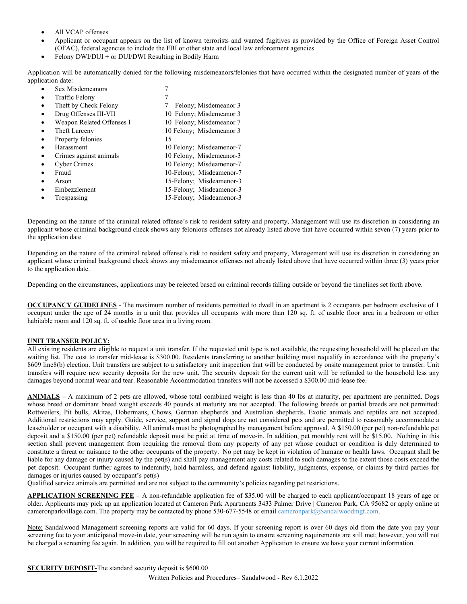- All VCAP offenses
- Applicant or occupant appears on the list of known terrorists and wanted fugitives as provided by the Office of Foreign Asset Control (OFAC), federal agencies to include the FBI or other state and local law enforcement agencies
- Felony DWI/DUI + or DUI/DWI Resulting in Bodily Harm

Application will be automatically denied for the following misdemeanors/felonies that have occurred within the designated number of years of the application date:

Sex Misdemeanors Traffic Felony 7 Theft by Check Felony 7 Felony; Misdemeanor 3 • Drug Offenses III-VII 10 Felony; Misdemeanor 3 • Weapon Related Offenses I 10 Felony; Misdemeanor 7 Final Larceny 10 Felony; Misdemeanor 3 Property felonies 15 • Harassment 10 Felony; Misdeamenor-7 • Crimes against animals 10 Felony, Misdemeanor-3 • Cyber Crimes 10 Felony; Misdeamenor-7 • Fraud 10-Felony; Misdeamenor-7 • Arson 15-Felony; Misdeamenor-3 • Embezzlement 15-Felony; Misdeamenor-3 Trespassing 15-Felony; Misdeamenor-3

Depending on the nature of the criminal related offense's risk to resident safety and property, Management will use its discretion in considering an applicant whose criminal background check shows any felonious offenses not already listed above that have occurred within seven (7) years prior to the application date.

Depending on the nature of the criminal related offense's risk to resident safety and property, Management will use its discretion in considering an applicant whose criminal background check shows any misdemeanor offenses not already listed above that have occurred within three (3) years prior to the application date.

Depending on the circumstances, applications may be rejected based on criminal records falling outside or beyond the timelines set forth above.

**OCCUPANCY GUIDELINES** - The maximum number of residents permitted to dwell in an apartment is 2 occupants per bedroom exclusive of 1 occupant under the age of 24 months in a unit that provides all occupants with more than 120 sq. ft. of usable floor area in a bedroom or other habitable room and 120 sq. ft. of usable floor area in a living room.

## **UNIT TRANSER POLICY:**

All existing residents are eligible to request a unit transfer. If the requested unit type is not available, the requesting household will be placed on the waiting list. The cost to transfer mid-lease is \$300.00. Residents transferring to another building must requalify in accordance with the property's 8609 line8(b) election. Unit transfers are subject to a satisfactory unit inspection that will be conducted by onsite management prior to transfer. Unit transfers will require new security deposits for the new unit. The security deposit for the current unit will be refunded to the household less any damages beyond normal wear and tear. Reasonable Accommodation transfers will not be accessed a \$300.00 mid-lease fee.

**ANIMALS** – A maximum of 2 pets are allowed, whose total combined weight is less than 40 lbs at maturity, per apartment are permitted. Dogs whose breed or dominant breed weight exceeds 40 pounds at maturity are not accepted. The following breeds or partial breeds are not permitted: Rottweilers, Pit bulls, Akitas, Dobermans, Chows, German shepherds and Australian shepherds. Exotic animals and reptiles are not accepted. Additional restrictions may apply. Guide, service, support and signal dogs are not considered pets and are permitted to reasonably accommodate a leaseholder or occupant with a disability. All animals must be photographed by management before approval. A \$150.00 (per pet) non-refundable pet deposit and a \$150.00 (per pet) refundable deposit must be paid at time of move-in. In addition, pet monthly rent will be \$15.00. Nothing in this section shall prevent management from requiring the removal from any property of any pet whose conduct or condition is duly determined to constitute a threat or nuisance to the other occupants of the property. No pet may be kept in violation of humane or health laws. Occupant shall be liable for any damage or injury caused by the pet(s) and shall pay management any costs related to such damages to the extent those costs exceed the pet deposit. Occupant further agrees to indemnify, hold harmless, and defend against liability, judgments, expense, or claims by third parties for damages or injuries caused by occupant's pet(s)

Qualified service animals are permitted and are not subject to the community's policies regarding pet restrictions.

**APPLICATION SCREENING FEE** – A non-refundable application fee of \$35.00 will be charged to each applicant/occupant 18 years of age or older. Applicants may pick up an application located at Cameron Park Apartments 3433 Palmer Drive | Cameron Park, CA 95682 or apply online at cameronparkvillage.com. The property may be contacted by phone 530-677-5548 or emai[l cameronpark@Sandalwoodmgt.com.](mailto:cameronpark@Sandalwoodmgt.com)

Note: Sandalwood Management screening reports are valid for 60 days. If your screening report is over 60 days old from the date you pay your screening fee to your anticipated move-in date, your screening will be run again to ensure screening requirements are still met; however, you will not be charged a screening fee again. In addition, you will be required to fill out another Application to ensure we have your current information.

**SECURITY DEPOSIT-The standard security deposit is \$600.00**